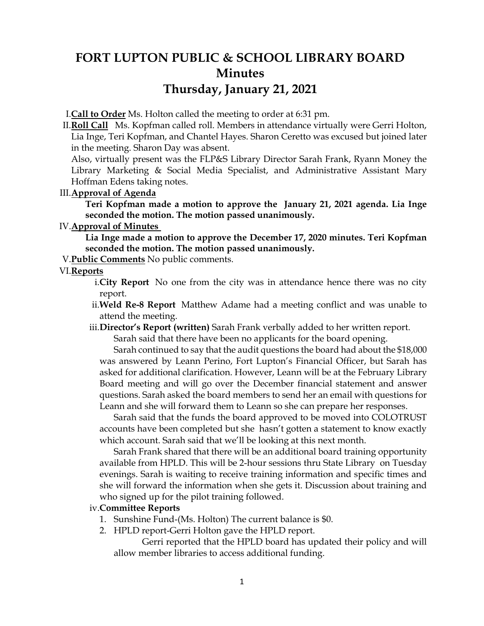# **FORT LUPTON PUBLIC & SCHOOL LIBRARY BOARD Minutes Thursday, January 21, 2021**

I.**Call to Order** Ms. Holton called the meeting to order at 6:31 pm.

II.**Roll Call** Ms. Kopfman called roll. Members in attendance virtually were Gerri Holton, Lia Inge, Teri Kopfman, and Chantel Hayes. Sharon Ceretto was excused but joined later in the meeting. Sharon Day was absent.

Also, virtually present was the FLP&S Library Director Sarah Frank, Ryann Money the Library Marketing & Social Media Specialist, and Administrative Assistant Mary Hoffman Edens taking notes.

#### III.**Approval of Agenda**

**Teri Kopfman made a motion to approve the January 21, 2021 agenda. Lia Inge seconded the motion. The motion passed unanimously.**

### IV.**Approval of Minutes**

**Lia Inge made a motion to approve the December 17, 2020 minutes. Teri Kopfman seconded the motion. The motion passed unanimously.**

V.**Public Comments** No public comments.

#### VI.**Reports**

- i.**City Report** No one from the city was in attendance hence there was no city report.
- ii.**Weld Re-8 Report** Matthew Adame had a meeting conflict and was unable to attend the meeting.
- iii.**Director's Report (written)** Sarah Frank verbally added to her written report.

Sarah said that there have been no applicants for the board opening.

Sarah continued to say that the audit questions the board had about the \$18,000 was answered by Leann Perino, Fort Lupton's Financial Officer, but Sarah has asked for additional clarification. However, Leann will be at the February Library Board meeting and will go over the December financial statement and answer questions. Sarah asked the board members to send her an email with questions for Leann and she will forward them to Leann so she can prepare her responses.

Sarah said that the funds the board approved to be moved into COLOTRUST accounts have been completed but she hasn't gotten a statement to know exactly which account. Sarah said that we'll be looking at this next month.

Sarah Frank shared that there will be an additional board training opportunity available from HPLD. This will be 2-hour sessions thru State Library on Tuesday evenings. Sarah is waiting to receive training information and specific times and she will forward the information when she gets it. Discussion about training and who signed up for the pilot training followed.

#### iv.**Committee Reports**

- 1. Sunshine Fund-(Ms. Holton) The current balance is \$0.
- 2. HPLD report-Gerri Holton gave the HPLD report.

Gerri reported that the HPLD board has updated their policy and will allow member libraries to access additional funding.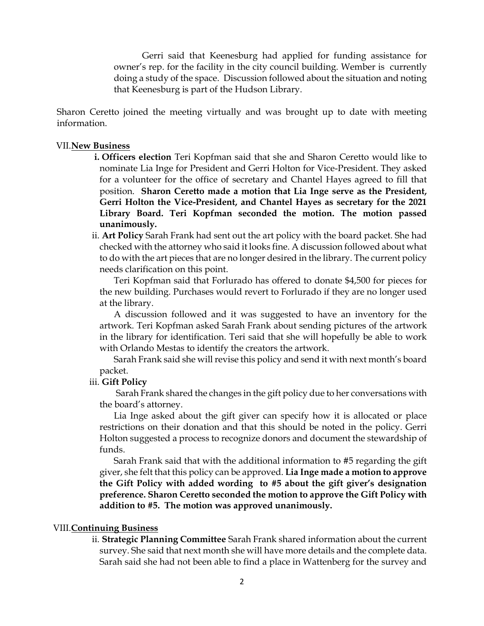Gerri said that Keenesburg had applied for funding assistance for owner's rep. for the facility in the city council building. Wember is currently doing a study of the space. Discussion followed about the situation and noting that Keenesburg is part of the Hudson Library.

Sharon Ceretto joined the meeting virtually and was brought up to date with meeting information.

#### VII.**New Business**

- **i. Officers election** Teri Kopfman said that she and Sharon Ceretto would like to nominate Lia Inge for President and Gerri Holton for Vice-President. They asked for a volunteer for the office of secretary and Chantel Hayes agreed to fill that position. **Sharon Ceretto made a motion that Lia Inge serve as the President, Gerri Holton the Vice-President, and Chantel Hayes as secretary for the 2021 Library Board. Teri Kopfman seconded the motion. The motion passed unanimously.**
- ii. **Art Policy** Sarah Frank had sent out the art policy with the board packet. She had checked with the attorney who said it looks fine. A discussion followed about what to do with the art pieces that are no longer desired in the library. The current policy needs clarification on this point.

Teri Kopfman said that Forlurado has offered to donate \$4,500 for pieces for the new building. Purchases would revert to Forlurado if they are no longer used at the library.

A discussion followed and it was suggested to have an inventory for the artwork. Teri Kopfman asked Sarah Frank about sending pictures of the artwork in the library for identification. Teri said that she will hopefully be able to work with Orlando Mestas to identify the creators the artwork.

Sarah Frank said she will revise this policy and send it with next month's board packet.

#### iii. **Gift Policy**

Sarah Frank shared the changes in the gift policy due to her conversations with the board's attorney.

Lia Inge asked about the gift giver can specify how it is allocated or place restrictions on their donation and that this should be noted in the policy. Gerri Holton suggested a process to recognize donors and document the stewardship of funds.

Sarah Frank said that with the additional information to #5 regarding the gift giver, she felt that this policy can be approved. **Lia Inge made a motion to approve the Gift Policy with added wording to #5 about the gift giver's designation preference. Sharon Ceretto seconded the motion to approve the Gift Policy with addition to #5. The motion was approved unanimously.** 

#### VIII.**Continuing Business**

ii. **Strategic Planning Committee** Sarah Frank shared information about the current survey. She said that next month she will have more details and the complete data. Sarah said she had not been able to find a place in Wattenberg for the survey and